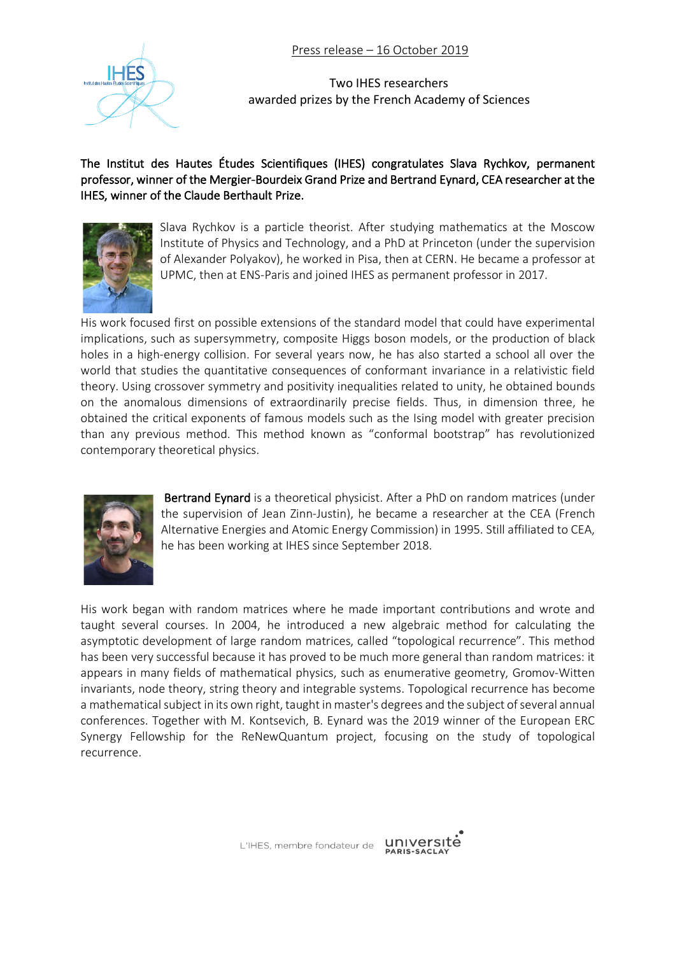Press release – 16 October 2019



Two IHES researchers awarded prizes by the French Academy of Sciences

## The Institut des Hautes Études Scientifiques (IHES) congratulates Slava Rychkov, permanent professor, winner of the Mergier-Bourdeix Grand Prize and Bertrand Eynard, CEA researcher at the IHES, winner of the Claude Berthault Prize.



Slava Rychkov is a particle theorist. After studying mathematics at the Moscow Institute of Physics and Technology, and a PhD at Princeton (under the supervision of Alexander Polyakov), he worked in Pisa, then at CERN. He became a professor at UPMC, then at ENS-Paris and joined IHES as permanent professor in 2017.

His work focused first on possible extensions of the standard model that could have experimental implications, such as supersymmetry, composite Higgs boson models, or the production of black holes in a high-energy collision. For several years now, he has also started a school all over the world that studies the quantitative consequences of conformant invariance in a relativistic field theory. Using crossover symmetry and positivity inequalities related to unity, he obtained bounds on the anomalous dimensions of extraordinarily precise fields. Thus, in dimension three, he obtained the critical exponents of famous models such as the Ising model with greater precision than any previous method. This method known as "conformal bootstrap" has revolutionized contemporary theoretical physics.



Bertrand Eynard is a theoretical physicist. After a PhD on random matrices (under the supervision of Jean Zinn-Justin), he became a researcher at the CEA (French Alternative Energies and Atomic Energy Commission) in 1995. Still affiliated to CEA, he has been working at IHES since September 2018.

His work began with random matrices where he made important contributions and wrote and taught several courses. In 2004, he introduced a new algebraic method for calculating the asymptotic development of large random matrices, called "topological recurrence". This method has been very successful because it has proved to be much more general than random matrices: it appears in many fields of mathematical physics, such as enumerative geometry, Gromov-Witten invariants, node theory, string theory and integrable systems. Topological recurrence has become a mathematical subject in its own right, taught in master's degrees and the subject of several annual conferences. Together with M. Kontsevich, B. Eynard was the 2019 winner of the European ERC Synergy Fellowship for the ReNewQuantum project, focusing on the study of topological recurrence.